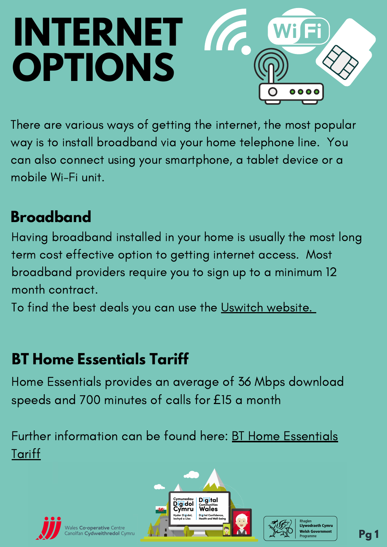# **INTERNET** a de la califactura de la califactura de la califactura de la califactura de la califactura de la califactura **OPTIONS**

#### **Broadband**

Having broadband installed in your home is usually the most long term cost effective option to getting internet access. Most broadband providers require you to sign up to a minimum 12 month contract.

To find the best deals you can use the Uswitch [website.](https://www.uswitch.com/broadband/)

Further [information](https://newsroom.bt.com/bt-to-launch-new-at-cost-social-tariff-in-june--offering-support-to-over-four-million-households-on-low-income/) can be found here: BT Home Essentials **Tariff** 



Vales **Co-operative** Centre<br>anolfan **Cydweithredol** Cymru





## **BT Home Essentials Tariff**

Home Essentials provides an average of 36 Mbps download speeds and 700 minutes of calls for £15 a month

There are various ways of getting the internet, the most popular way is to install broadband via your home telephone line. You can also connect using your smartphone, a tablet device or a mobile Wi-Fi unit.